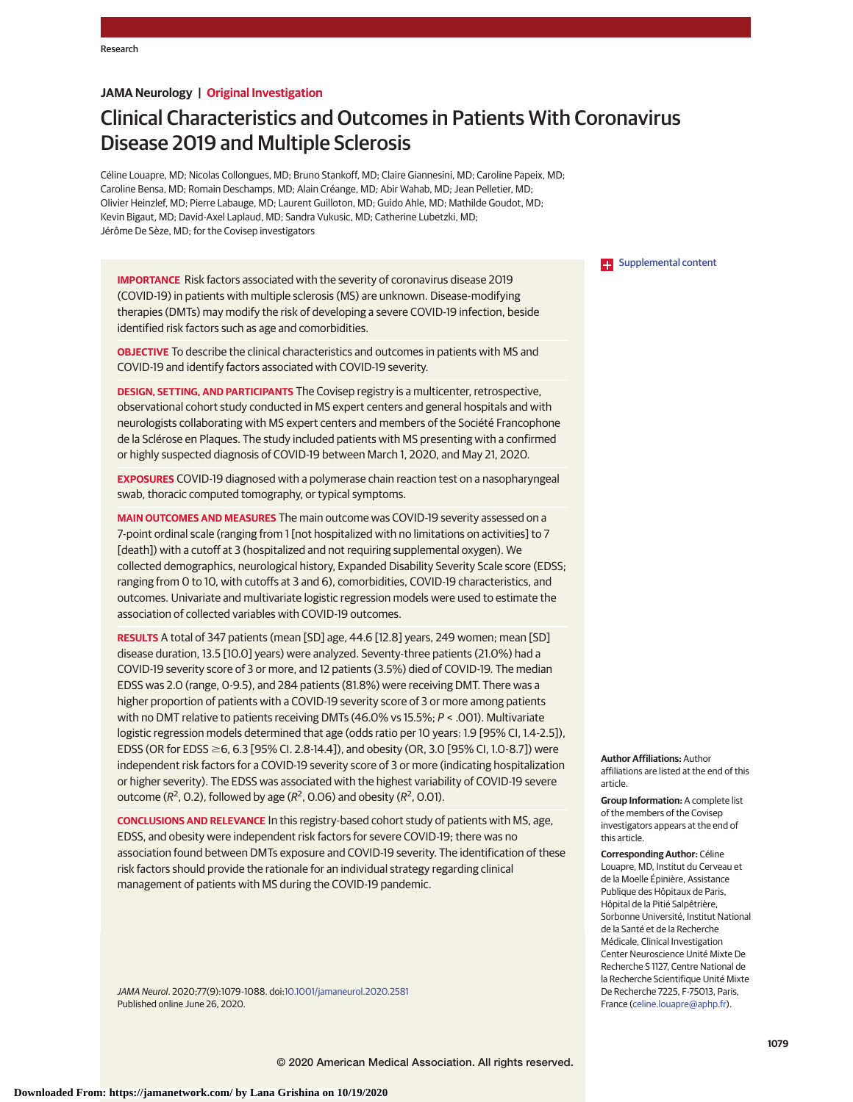# **JAMA Neurology | Original Investigation**

# Clinical Characteristics and Outcomes in Patients With Coronavirus Disease 2019 and Multiple Sclerosis

Céline Louapre, MD; Nicolas Collongues, MD; Bruno Stankoff, MD; Claire Giannesini, MD; Caroline Papeix, MD; Caroline Bensa, MD; Romain Deschamps, MD; Alain Créange, MD; Abir Wahab, MD; Jean Pelletier, MD; Olivier Heinzlef, MD; Pierre Labauge, MD; Laurent Guilloton, MD; Guido Ahle, MD; Mathilde Goudot, MD; Kevin Bigaut, MD; David-Axel Laplaud, MD; Sandra Vukusic, MD; Catherine Lubetzki, MD; Jérôme De Sèze, MD; for the Covisep investigators

**IMPORTANCE** Risk factors associated with the severity of coronavirus disease 2019 (COVID-19) in patients with multiple sclerosis (MS) are unknown. Disease-modifying therapies (DMTs) may modify the risk of developing a severe COVID-19 infection, beside identified risk factors such as age and comorbidities.

**OBJECTIVE** To describe the clinical characteristics and outcomes in patients with MS and COVID-19 and identify factors associated with COVID-19 severity.

**DESIGN, SETTING, AND PARTICIPANTS** The Covisep registry is a multicenter, retrospective, observational cohort study conducted in MS expert centers and general hospitals and with neurologists collaborating with MS expert centers and members of the Société Francophone de la Sclérose en Plaques. The study included patients with MS presenting with a confirmed or highly suspected diagnosis of COVID-19 between March 1, 2020, and May 21, 2020.

**EXPOSURES** COVID-19 diagnosed with a polymerase chain reaction test on a nasopharyngeal swab, thoracic computed tomography, or typical symptoms.

**MAIN OUTCOMES AND MEASURES** The main outcome was COVID-19 severity assessed on a 7-point ordinal scale (ranging from 1 [not hospitalized with no limitations on activities] to 7 [death]) with a cutoff at 3 (hospitalized and not requiring supplemental oxygen). We collected demographics, neurological history, Expanded Disability Severity Scale score (EDSS; ranging from 0 to 10, with cutoffs at 3 and 6), comorbidities, COVID-19 characteristics, and outcomes. Univariate and multivariate logistic regression models were used to estimate the association of collected variables with COVID-19 outcomes.

**RESULTS** A total of 347 patients (mean [SD] age, 44.6 [12.8] years, 249 women; mean [SD] disease duration, 13.5 [10.0] years) were analyzed. Seventy-three patients (21.0%) had a COVID-19 severity score of 3 or more, and 12 patients (3.5%) died of COVID-19. The median EDSS was 2.0 (range, 0-9.5), and 284 patients (81.8%) were receiving DMT. There was a higher proportion of patients with a COVID-19 severity score of 3 or more among patients with no DMT relative to patients receiving DMTs (46.0% vs 15.5%; P < .001). Multivariate logistic regression models determined that age (odds ratio per 10 years: 1.9 [95% CI, 1.4-2.5]), EDSS (OR for EDSS ≥6, 6.3 [95% CI. 2.8-14.4]), and obesity (OR, 3.0 [95% CI, 1.0-8.7]) were independent risk factors for a COVID-19 severity score of 3 or more (indicating hospitalization or higher severity). The EDSS was associated with the highest variability of COVID-19 severe outcome ( $R^2$ , 0.2), followed by age ( $R^2$ , 0.06) and obesity ( $R^2$ , 0.01).

**CONCLUSIONS AND RELEVANCE** In this registry-based cohort study of patients with MS, age, EDSS, and obesity were independent risk factors for severe COVID-19; there was no association found between DMTs exposure and COVID-19 severity. The identification of these risk factors should provide the rationale for an individual strategy regarding clinical management of patients with MS during the COVID-19 pandemic.

JAMA Neurol. 2020;77(9):1079-1088. doi[:10.1001/jamaneurol.2020.2581](https://jamanetwork.com/journals/jama/fullarticle/10.1001/jamaneurol.2020.2581?utm_campaign=articlePDF%26utm_medium=articlePDFlink%26utm_source=articlePDF%26utm_content=jamaneurol.2020.2581) Published online June 26, 2020.

**Examplemental content** 

**Author Affiliations:** Author affiliations are listed at the end of this article.

**Group Information:** A complete list of the members of the Covisep investigators appears at the end of this article.

**Corresponding Author:** Céline Louapre, MD, Institut du Cerveau et de la Moelle Épinière, Assistance Publique des Hôpitaux de Paris, Hôpital de la Pitié Salpêtrière, Sorbonne Université, Institut National de la Santé et de la Recherche Médicale, Clinical Investigation Center Neuroscience Unité Mixte De Recherche S 1127, Centre National de la Recherche Scientifique Unité Mixte De Recherche 7225, F-75013, Paris, France [\(celine.louapre@aphp.fr\)](mailto:celine.louapre@aphp.fr).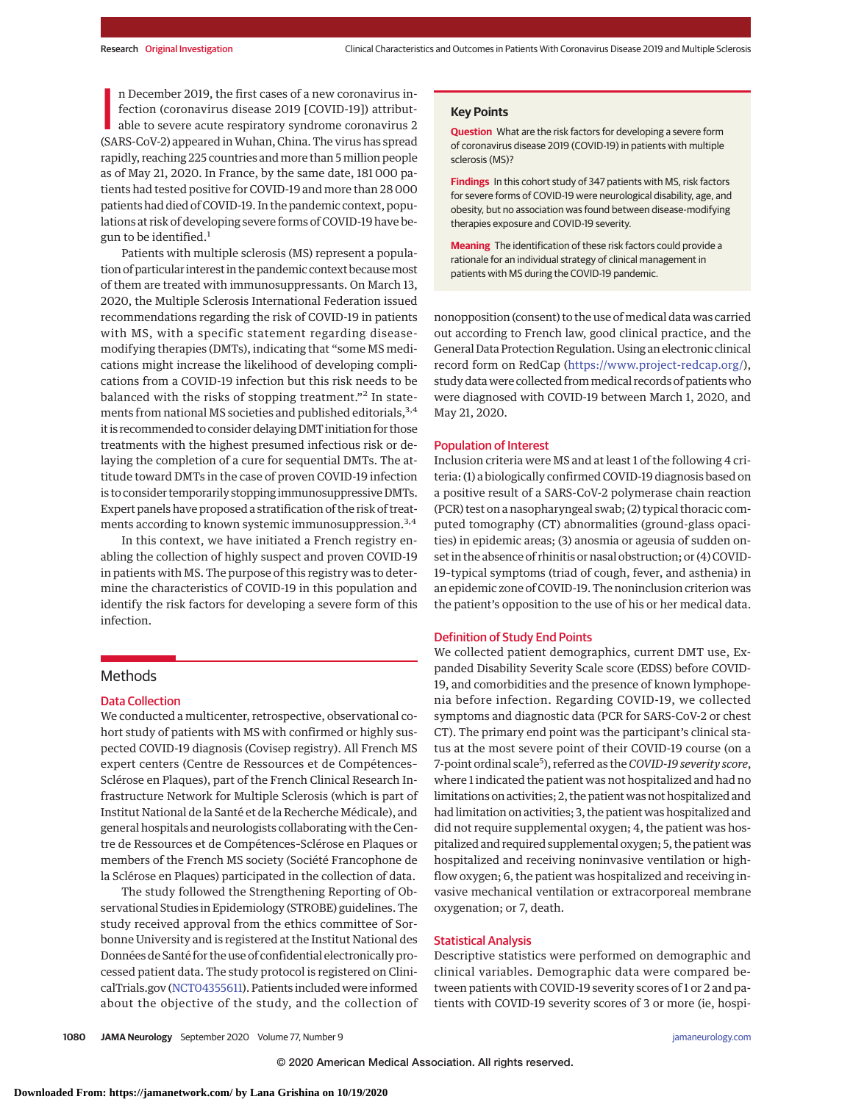n December 2019, the first cases of a new coronavirus in-<br>fection (coronavirus disease 2019 [COVID-19]) attribut-<br>able to severe acute respiratory syndrome coronavirus 2<br>(SARS-CoV-2) appeared in Wuhan, China. The virus has n December 2019, the first cases of a new coronavirus infection (coronavirus disease 2019 [COVID-19]) attributable to severe acute respiratory syndrome coronavirus 2 rapidly, reaching 225 countries and more than 5 million people as of May 21, 2020. In France, by the same date, 181 000 patients had tested positive for COVID-19 and more than 28 000 patients had died of COVID-19. In the pandemic context, populations at risk of developing severe forms of COVID-19 have begun to be identified.<sup>1</sup>

Patients with multiple sclerosis (MS) represent a population of particular interest in the pandemic context becausemost of them are treated with immunosuppressants. On March 13, 2020, the Multiple Sclerosis International Federation issued recommendations regarding the risk of COVID-19 in patients with MS, with a specific statement regarding diseasemodifying therapies (DMTs), indicating that "some MS medications might increase the likelihood of developing complications from a COVID-19 infection but this risk needs to be balanced with the risks of stopping treatment."<sup>2</sup> In statements from national MS societies and published editorials, 3,4 it is recommended to consider delaying DMT initiation for those treatments with the highest presumed infectious risk or delaying the completion of a cure for sequential DMTs. The attitude toward DMTs in the case of proven COVID-19 infection is to consider temporarily stopping immunosuppressive DMTs. Expert panels have proposed a stratification of the risk of treatments according to known systemic immunosuppression.<sup>3,4</sup>

In this context, we have initiated a French registry enabling the collection of highly suspect and proven COVID-19 in patients with MS. The purpose of this registry was to determine the characteristics of COVID-19 in this population and identify the risk factors for developing a severe form of this infection.

# Methods

## Data Collection

We conducted a multicenter, retrospective, observational cohort study of patients with MS with confirmed or highly suspected COVID-19 diagnosis (Covisep registry). All French MS expert centers (Centre de Ressources et de Compétences– Sclérose en Plaques), part of the French Clinical Research Infrastructure Network for Multiple Sclerosis (which is part of Institut National de la Santé et de la Recherche Médicale), and general hospitals and neurologists collaborating with the Centre de Ressources et de Compétences–Sclérose en Plaques or members of the French MS society (Société Francophone de la Sclérose en Plaques) participated in the collection of data.

The study followed the Strengthening Reporting of Observational Studies in Epidemiology (STROBE) guidelines. The study received approval from the ethics committee of Sorbonne University and is registered at the Institut National des Données de Santé for the use of confidential electronically processed patient data. The study protocol is registered on ClinicalTrials.gov [\(NCT04355611\)](https://clinicaltrials.gov/ct2/show/NCT04355611). Patients included were informed about the objective of the study, and the collection of

#### **Key Points**

**Question** What are the risk factors for developing a severe form of coronavirus disease 2019 (COVID-19) in patients with multiple sclerosis (MS)?

**Findings** In this cohort study of 347 patients with MS, risk factors for severe forms of COVID-19 were neurological disability, age, and obesity, but no association was found between disease-modifying therapies exposure and COVID-19 severity.

**Meaning** The identification of these risk factors could provide a rationale for an individual strategy of clinical management in patients with MS during the COVID-19 pandemic.

nonopposition (consent) to the use of medical data was carried out according to French law, good clinical practice, and the General Data Protection Regulation. Using an electronic clinical record form on RedCap [\(https://www.project-redcap.org/\)](https://www.project-redcap.org/), study data were collected frommedical records of patients who were diagnosed with COVID-19 between March 1, 2020, and May 21, 2020.

## Population of Interest

Inclusion criteria were MS and at least 1 of the following 4 criteria: (1) a biologically confirmed COVID-19 diagnosis based on a positive result of a SARS-CoV-2 polymerase chain reaction (PCR) test on a nasopharyngeal swab; (2) typical thoracic computed tomography (CT) abnormalities (ground-glass opacities) in epidemic areas; (3) anosmia or ageusia of sudden onset in the absence of rhinitis or nasal obstruction; or (4) COVID-19–typical symptoms (triad of cough, fever, and asthenia) in an epidemic zone of COVID-19. The noninclusion criterion was the patient's opposition to the use of his or her medical data.

## Definition of Study End Points

We collected patient demographics, current DMT use, Expanded Disability Severity Scale score (EDSS) before COVID-19, and comorbidities and the presence of known lymphopenia before infection. Regarding COVID-19, we collected symptoms and diagnostic data (PCR for SARS-CoV-2 or chest CT). The primary end point was the participant's clinical status at the most severe point of their COVID-19 course (on a 7-point ordinal scale<sup>5</sup>), referred as the *COVID-19 severity score*, where 1 indicated the patient was not hospitalized and had no limitations on activities; 2, the patient was not hospitalized and had limitation on activities; 3, the patient was hospitalized and did not require supplemental oxygen; 4, the patient was hospitalized and required supplemental oxygen; 5, the patient was hospitalized and receiving noninvasive ventilation or highflow oxygen; 6, the patient was hospitalized and receiving invasive mechanical ventilation or extracorporeal membrane oxygenation; or 7, death.

## Statistical Analysis

Descriptive statistics were performed on demographic and clinical variables. Demographic data were compared between patients with COVID-19 severity scores of 1 or 2 and patients with COVID-19 severity scores of 3 or more (ie, hospi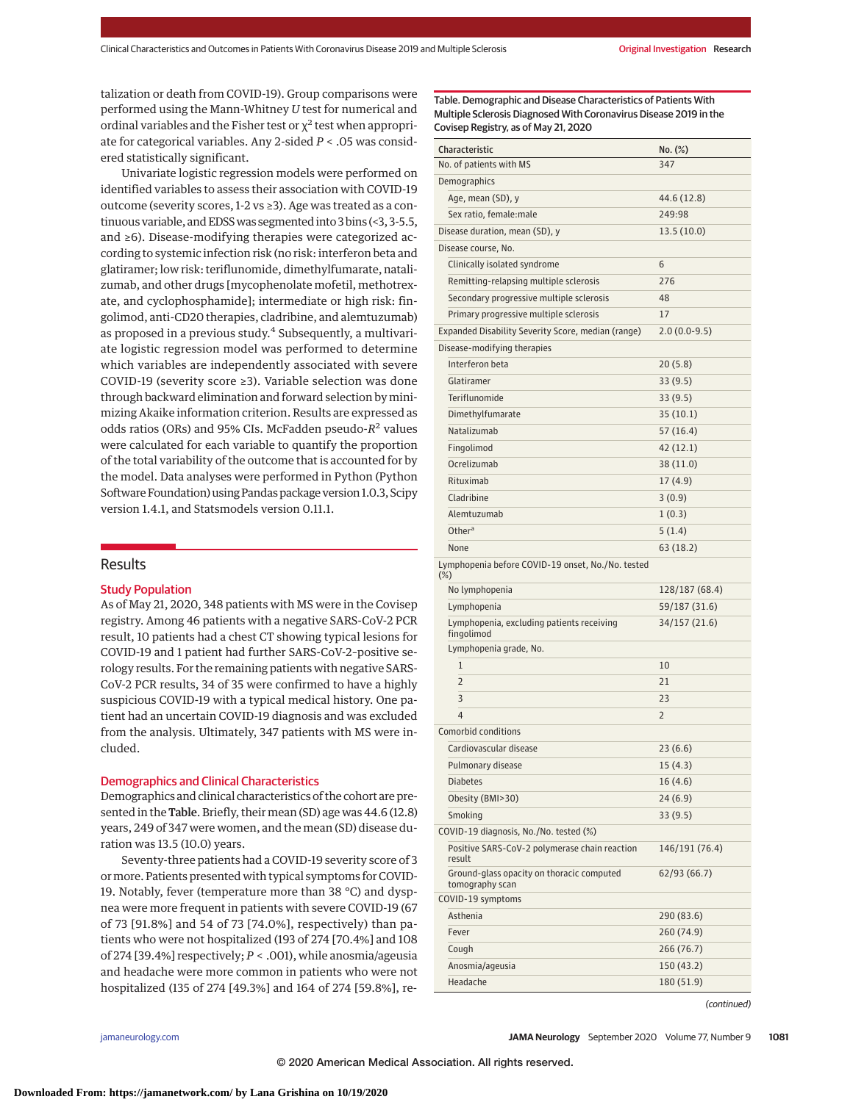talization or death from COVID-19). Group comparisons were performed using the Mann-Whitney *U* test for numerical and ordinal variables and the Fisher test or  $\chi^2$  test when appropriate for categorical variables. Any 2-sided *P* < .05 was considered statistically significant.

Univariate logistic regression models were performed on identified variables to assess their association with COVID-19 outcome (severity scores, 1-2 vs ≥3). Age was treated as a continuous variable, and EDSS was segmented into 3 bins (<3, 3-5.5, and ≥6). Disease-modifying therapies were categorized according to systemic infection risk (no risk: interferon beta and glatiramer; low risk: teriflunomide, dimethylfumarate, natalizumab, and other drugs [mycophenolate mofetil, methotrexate, and cyclophosphamide]; intermediate or high risk: fingolimod, anti-CD20 therapies, cladribine, and alemtuzumab) as proposed in a previous study.<sup>4</sup> Subsequently, a multivariate logistic regression model was performed to determine which variables are independently associated with severe COVID-19 (severity score ≥3). Variable selection was done through backward elimination and forward selection by minimizing Akaike information criterion. Results are expressed as odds ratios (ORs) and 95% CIs. McFadden pseudo-*R*<sup>2</sup> values were calculated for each variable to quantify the proportion of the total variability of the outcome that is accounted for by the model. Data analyses were performed in Python (Python Software Foundation) using Pandas package version 1.0.3, Scipy version 1.4.1, and Statsmodels version 0.11.1.

## Results

### Study Population

As of May 21, 2020, 348 patients with MS were in the Covisep registry. Among 46 patients with a negative SARS-CoV-2 PCR result, 10 patients had a chest CT showing typical lesions for COVID-19 and 1 patient had further SARS-CoV-2–positive serology results. For the remaining patients with negative SARS-CoV-2 PCR results, 34 of 35 were confirmed to have a highly suspicious COVID-19 with a typical medical history. One patient had an uncertain COVID-19 diagnosis and was excluded from the analysis. Ultimately, 347 patients with MS were included.

### Demographics and Clinical Characteristics

Demographics and clinical characteristics of the cohort are presented in the Table. Briefly, their mean (SD) age was 44.6 (12.8) years, 249 of 347 were women, and the mean (SD) disease duration was 13.5 (10.0) years.

Seventy-three patients had a COVID-19 severity score of 3 ormore. Patients presented with typical symptoms for COVID-19. Notably, fever (temperature more than 38 °C) and dyspnea were more frequent in patients with severe COVID-19 (67 of 73 [91.8%] and 54 of 73 [74.0%], respectively) than patients who were not hospitalized (193 of 274 [70.4%] and 108 of 274 [39.4%] respectively; *P* < .001), while anosmia/ageusia and headache were more common in patients who were not hospitalized (135 of 274 [49.3%] and 164 of 274 [59.8%], reTable. Demographic and Disease Characteristics of Patients With Multiple Sclerosis Diagnosed With Coronavirus Disease 2019 in the Covisep Registry, as of May 21, 2020

| Characteristic                                               | No. (%)        |
|--------------------------------------------------------------|----------------|
| No. of patients with MS                                      | 347            |
| Demographics                                                 |                |
| Age, mean (SD), y                                            | 44.6 (12.8)    |
| Sex ratio, female: male                                      | 249:98         |
| Disease duration, mean (SD), y                               | 13.5(10.0)     |
| Disease course, No.                                          |                |
| Clinically isolated syndrome                                 | 6              |
| Remitting-relapsing multiple sclerosis                       | 276            |
| Secondary progressive multiple sclerosis                     | 48             |
| Primary progressive multiple sclerosis                       | 17             |
| Expanded Disability Severity Score, median (range)           | $2.0(0.0-9.5)$ |
| Disease-modifying therapies                                  |                |
| Interferon beta                                              | 20(5.8)        |
| Glatiramer                                                   | 33 (9.5)       |
| Teriflunomide                                                | 33 (9.5)       |
| Dimethylfumarate                                             | 35 (10.1)      |
| Natalizumab                                                  | 57 (16.4)      |
| Fingolimod                                                   | 42 (12.1)      |
| Ocrelizumab                                                  | 38 (11.0)      |
| Rituximab                                                    | 17(4.9)        |
| Cladribine                                                   | 3(0.9)         |
| Alemtuzumab                                                  | 1(0.3)         |
| Other <sup>a</sup>                                           | 5(1.4)         |
| None                                                         | 63 (18.2)      |
| Lymphopenia before COVID-19 onset, No./No. tested<br>$(\%)$  |                |
| No lymphopenia                                               | 128/187 (68.4) |
| Lymphopenia                                                  | 59/187 (31.6)  |
| Lymphopenia, excluding patients receiving<br>fingolimod      | 34/157 (21.6)  |
| Lymphopenia grade, No.                                       |                |
| 1                                                            | 10             |
| $\overline{2}$                                               | 21             |
| 3                                                            | 23             |
| $\overline{4}$                                               | 2              |
| Comorbid conditions                                          |                |
| Cardiovascular disease                                       | 23 (6.6)       |
| Pulmonary disease                                            | 15(4.3)        |
| <b>Diabetes</b>                                              | 16(4.6)        |
| Obesity (BMI>30)                                             | 24 (6.9)       |
| Smoking                                                      | 33(9.5)        |
| COVID-19 diagnosis, No./No. tested (%)                       |                |
| Positive SARS-CoV-2 polymerase chain reaction<br>result      | 146/191 (76.4) |
| Ground-glass opacity on thoracic computed<br>tomography scan | 62/93 (66.7)   |
| COVID-19 symptoms                                            |                |
| Asthenia                                                     | 290 (83.6)     |
| Fever                                                        | 260 (74.9)     |
| Cough                                                        | 266 (76.7)     |
| Anosmia/ageusia                                              | 150 (43.2)     |
| Headache                                                     | 180 (51.9)     |

(continued)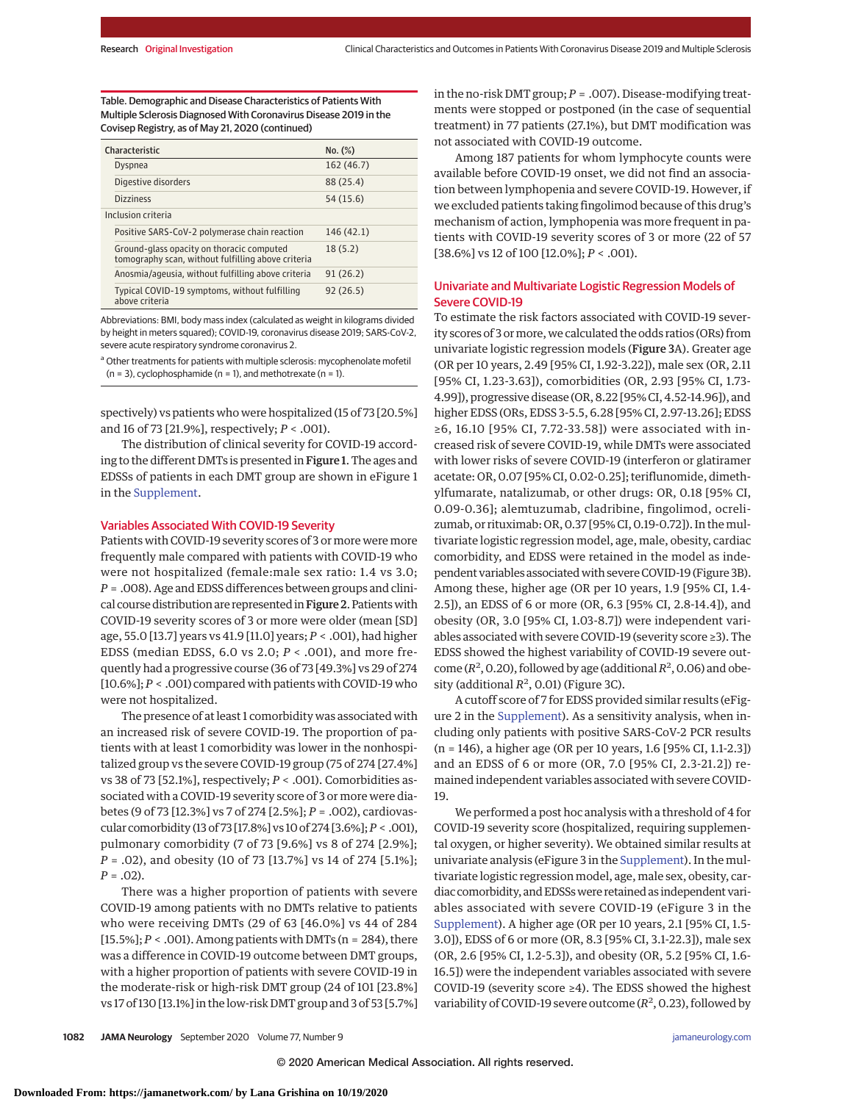Table. Demographic and Disease Characteristics of Patients With Multiple Sclerosis Diagnosed With Coronavirus Disease 2019 in the Covisep Registry, as of May 21, 2020 (continued)

| Characteristic                                                                                  | No. (%)    |
|-------------------------------------------------------------------------------------------------|------------|
| <b>Dyspnea</b>                                                                                  | 162 (46.7) |
| Digestive disorders                                                                             | 88 (25.4)  |
| <b>Dizziness</b>                                                                                | 54 (15.6)  |
| Inclusion criteria                                                                              |            |
| Positive SARS-CoV-2 polymerase chain reaction                                                   | 146 (42.1) |
| Ground-glass opacity on thoracic computed<br>tomography scan, without fulfilling above criteria | 18(5.2)    |
| Anosmia/ageusia, without fulfilling above criteria                                              | 91(26.2)   |
| Typical COVID-19 symptoms, without fulfilling<br>above criteria                                 | 92(26.5)   |

Abbreviations: BMI, body mass index (calculated as weight in kilograms divided by height in meters squared); COVID-19, coronavirus disease 2019; SARS-CoV-2, severe acute respiratory syndrome coronavirus 2.

<sup>a</sup> Other treatments for patients with multiple sclerosis: mycophenolate mofetil  $(n = 3)$ , cyclophosphamide  $(n = 1)$ , and methotrexate  $(n = 1)$ .

spectively) vs patients who were hospitalized (15 of 73 [20.5%] and 16 of 73 [21.9%], respectively; *P* < .001).

The distribution of clinical severity for COVID-19 according to the different DMTs is presented in Figure 1. The ages and EDSSs of patients in each DMT group are shown in eFigure 1 in the [Supplement.](https://jamanetwork.com/journals/jama/fullarticle/10.1001/jamaneurol.2020.2581?utm_campaign=articlePDF%26utm_medium=articlePDFlink%26utm_source=articlePDF%26utm_content=jamaneurol.2020.2581)

## Variables Associated With COVID-19 Severity

Patients with COVID-19 severity scores of 3 or more were more frequently male compared with patients with COVID-19 who were not hospitalized (female:male sex ratio: 1.4 vs 3.0; *P* = .008). Age and EDSS differences between groups and clinical course distribution are represented in Figure 2. Patients with COVID-19 severity scores of 3 or more were older (mean [SD] age, 55.0 [13.7] years vs 41.9 [11.0] years; *P* < .001), had higher EDSS (median EDSS, 6.0 vs 2.0; *P* < .001), and more frequently had a progressive course (36 of 73 [49.3%] vs 29 of 274 [10.6%]; *P* < .001) compared with patients with COVID-19 who were not hospitalized.

The presence of at least 1 comorbidity was associated with an increased risk of severe COVID-19. The proportion of patients with at least 1 comorbidity was lower in the nonhospitalized group vs the severe COVID-19 group (75 of 274 [27.4%] vs 38 of 73 [52.1%], respectively; *P* < .001). Comorbidities associated with a COVID-19 severity score of 3 or more were diabetes (9 of 73 [12.3%] vs 7 of 274 [2.5%]; *P* = .002), cardiovascular comorbidity (13 of 73 [17.8%] vs 10 of 274 [3.6%];*P* < .001), pulmonary comorbidity (7 of 73 [9.6%] vs 8 of 274 [2.9%]; *P* = .02), and obesity (10 of 73 [13.7%] vs 14 of 274 [5.1%];  $P = .02$ ).

There was a higher proportion of patients with severe COVID-19 among patients with no DMTs relative to patients who were receiving DMTs (29 of 63 [46.0%] vs 44 of 284 [15.5%]; *P* < .001). Among patients with DMTs (n = 284), there was a difference in COVID-19 outcome between DMT groups, with a higher proportion of patients with severe COVID-19 in the moderate-risk or high-risk DMT group (24 of 101 [23.8%] vs 17 of 130 [13.1%] in the low-risk DMT group and 3 of 53 [5.7%] in the no-risk DMT group; *P* = .007). Disease-modifying treatments were stopped or postponed (in the case of sequential treatment) in 77 patients (27.1%), but DMT modification was not associated with COVID-19 outcome.

Among 187 patients for whom lymphocyte counts were available before COVID-19 onset, we did not find an association between lymphopenia and severe COVID-19. However, if we excluded patients taking fingolimod because of this drug's mechanism of action, lymphopenia was more frequent in patients with COVID-19 severity scores of 3 or more (22 of 57 [38.6%] vs 12 of 100 [12.0%]; *P* < .001).

## Univariate and Multivariate Logistic Regression Models of Severe COVID-19

To estimate the risk factors associated with COVID-19 severity scores of 3 ormore, we calculated the odds ratios (ORs) from univariate logistic regression models (Figure 3A). Greater age (OR per 10 years, 2.49 [95% CI, 1.92-3.22]), male sex (OR, 2.11 [95% CI, 1.23-3.63]), comorbidities (OR, 2.93 [95% CI, 1.73- 4.99]), progressive disease (OR, 8.22 [95% CI, 4.52-14.96]), and higher EDSS (ORs, EDSS 3-5.5, 6.28 [95% CI, 2.97-13.26]; EDSS ≥6, 16.10 [95% CI, 7.72-33.58]) were associated with increased risk of severe COVID-19, while DMTs were associated with lower risks of severe COVID-19 (interferon or glatiramer acetate: OR, 0.07 [95% CI, 0.02-0.25]; teriflunomide, dimethylfumarate, natalizumab, or other drugs: OR, 0.18 [95% CI, 0.09-0.36]; alemtuzumab, cladribine, fingolimod, ocrelizumab, or rituximab: OR, 0.37 [95% CI, 0.19-0.72]). In themultivariate logistic regression model, age, male, obesity, cardiac comorbidity, and EDSS were retained in the model as independent variables associated with severe COVID-19 (Figure 3B). Among these, higher age (OR per 10 years, 1.9 [95% CI, 1.4- 2.5]), an EDSS of 6 or more (OR, 6.3 [95% CI, 2.8-14.4]), and obesity (OR, 3.0 [95% CI, 1.03-8.7]) were independent variables associated with severe COVID-19 (severity score ≥3). The EDSS showed the highest variability of COVID-19 severe outcome  $(R^2, 0.20)$ , followed by age (additional  $R^2$ , 0.06) and obesity (additional  $R^2$ , 0.01) (Figure 3C).

A cutoff score of 7 for EDSS provided similar results (eFigure 2 in the [Supplement\)](https://jamanetwork.com/journals/jama/fullarticle/10.1001/jamaneurol.2020.2581?utm_campaign=articlePDF%26utm_medium=articlePDFlink%26utm_source=articlePDF%26utm_content=jamaneurol.2020.2581). As a sensitivity analysis, when including only patients with positive SARS-CoV-2 PCR results (n = 146), a higher age (OR per 10 years, 1.6 [95% CI, 1.1-2.3]) and an EDSS of 6 or more (OR, 7.0 [95% CI, 2.3-21.2]) remained independent variables associated with severe COVID-19.

We performed a post hoc analysis with a threshold of 4 for COVID-19 severity score (hospitalized, requiring supplemental oxygen, or higher severity). We obtained similar results at univariate analysis (eFigure 3 in the [Supplement\)](https://jamanetwork.com/journals/jama/fullarticle/10.1001/jamaneurol.2020.2581?utm_campaign=articlePDF%26utm_medium=articlePDFlink%26utm_source=articlePDF%26utm_content=jamaneurol.2020.2581). In the multivariate logistic regression model, age, male sex, obesity, cardiac comorbidity, and EDSSswere retained as independent variables associated with severe COVID-19 (eFigure 3 in the [Supplement\)](https://jamanetwork.com/journals/jama/fullarticle/10.1001/jamaneurol.2020.2581?utm_campaign=articlePDF%26utm_medium=articlePDFlink%26utm_source=articlePDF%26utm_content=jamaneurol.2020.2581). A higher age (OR per 10 years, 2.1 [95% CI, 1.5- 3.0]), EDSS of 6 or more (OR, 8.3 [95% CI, 3.1-22.3]), male sex (OR, 2.6 [95% CI, 1.2-5.3]), and obesity (OR, 5.2 [95% CI, 1.6- 16.5]) were the independent variables associated with severe COVID-19 (severity score ≥4). The EDSS showed the highest variability of COVID-19 severe outcome  $(R^2, 0.23)$ , followed by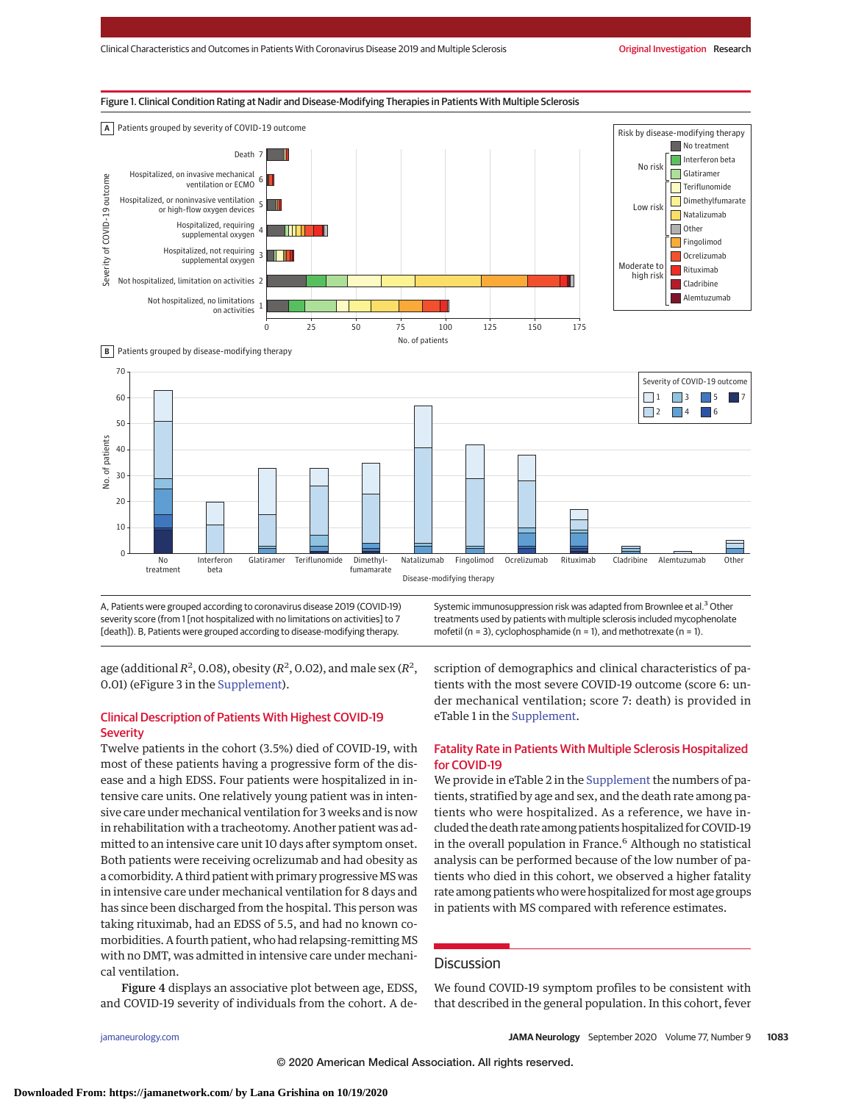





A, Patients were grouped according to coronavirus disease 2019 (COVID-19) severity score (from 1 [not hospitalized with no limitations on activities] to 7 [death]). B, Patients were grouped according to disease-modifying therapy.

Systemic immunosuppression risk was adapted from Brownlee et al.<sup>3</sup> Other treatments used by patients with multiple sclerosis included mycophenolate mofetil ( $n = 3$ ), cyclophosphamide ( $n = 1$ ), and methotrexate ( $n = 1$ ).

age (additional  $R^2$ , 0.08), obesity ( $R^2$ , 0.02), and male sex ( $R^2$ , 0.01) (eFigure 3 in the [Supplement\)](https://jamanetwork.com/journals/jama/fullarticle/10.1001/jamaneurol.2020.2581?utm_campaign=articlePDF%26utm_medium=articlePDFlink%26utm_source=articlePDF%26utm_content=jamaneurol.2020.2581).

# Clinical Description of Patients With Highest COVID-19 **Severity**

Twelve patients in the cohort (3.5%) died of COVID-19, with most of these patients having a progressive form of the disease and a high EDSS. Four patients were hospitalized in intensive care units. One relatively young patient was in intensive care under mechanical ventilation for 3 weeks and is now in rehabilitation with a tracheotomy. Another patient was admitted to an intensive care unit 10 days after symptom onset. Both patients were receiving ocrelizumab and had obesity as a comorbidity. A third patient with primary progressive MS was in intensive care under mechanical ventilation for 8 days and has since been discharged from the hospital. This person was taking rituximab, had an EDSS of 5.5, and had no known comorbidities. A fourth patient, who had relapsing-remitting MS with no DMT, was admitted in intensive care under mechanical ventilation.

and COVID-19 severity of individuals from the cohort. A de-

scription of demographics and clinical characteristics of patients with the most severe COVID-19 outcome (score 6: under mechanical ventilation; score 7: death) is provided in eTable 1 in the [Supplement.](https://jamanetwork.com/journals/jama/fullarticle/10.1001/jamaneurol.2020.2581?utm_campaign=articlePDF%26utm_medium=articlePDFlink%26utm_source=articlePDF%26utm_content=jamaneurol.2020.2581)

## Fatality Rate in Patients With Multiple Sclerosis Hospitalized for COVID-19

We provide in eTable 2 in the [Supplement](https://jamanetwork.com/journals/jama/fullarticle/10.1001/jamaneurol.2020.2581?utm_campaign=articlePDF%26utm_medium=articlePDFlink%26utm_source=articlePDF%26utm_content=jamaneurol.2020.2581) the numbers of patients, stratified by age and sex, and the death rate among patients who were hospitalized. As a reference, we have included the death rate among patients hospitalized for COVID-19 in the overall population in France.<sup>6</sup> Although no statistical analysis can be performed because of the low number of patients who died in this cohort, we observed a higher fatality rate among patients who were hospitalized formost age groups in patients with MS compared with reference estimates.

# Discussion

Figure 4 displays an associative plot between age, EDSS,

We found COVID-19 symptom profiles to be consistent with that described in the general population. In this cohort, fever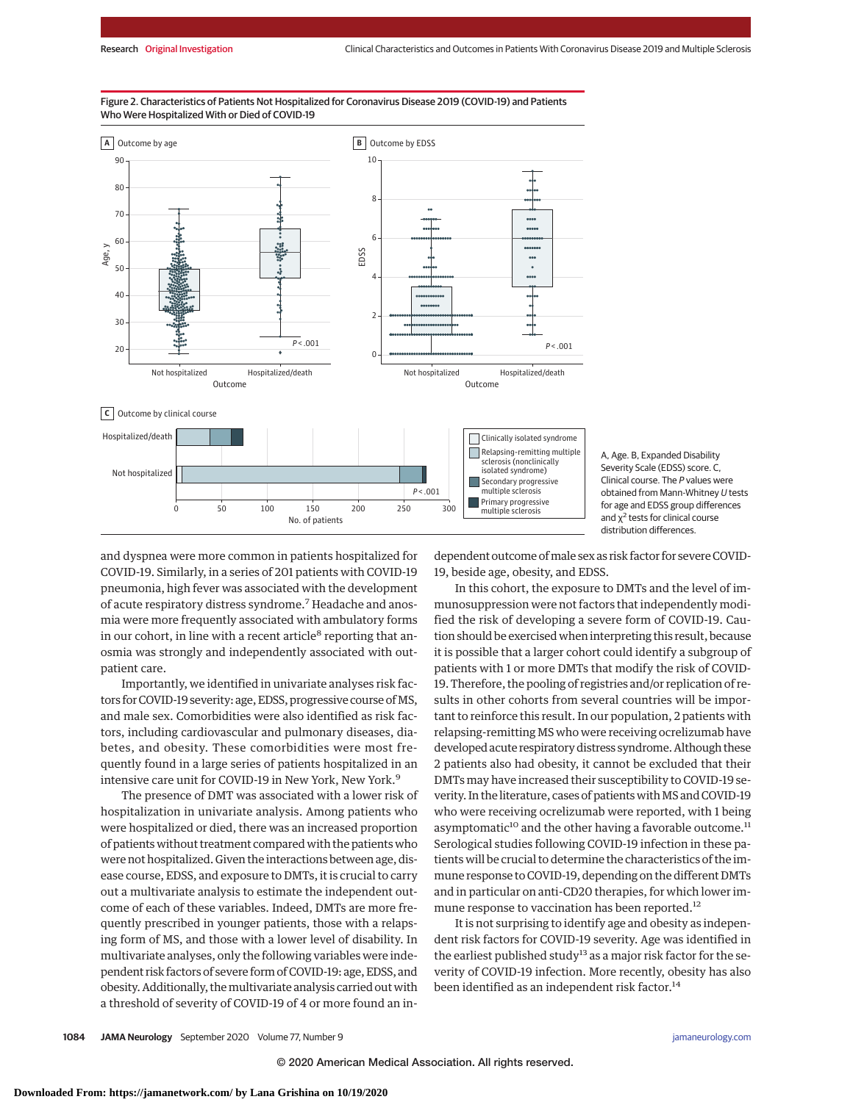

### Figure 2. Characteristics of Patients Not Hospitalized for Coronavirus Disease 2019 (COVID-19) and Patients Who Were Hospitalized With or Died of COVID-19

A, Age. B, Expanded Disability Severity Scale (EDSS) score. C, Clinical course. The P values were obtained from Mann-Whitney U tests for age and EDSS group differences and  $\chi^2$  tests for clinical course distribution differences.

and dyspnea were more common in patients hospitalized for COVID-19. Similarly, in a series of 201 patients with COVID-19 pneumonia, high fever was associated with the development of acute respiratory distress syndrome.<sup>7</sup> Headache and anosmia were more frequently associated with ambulatory forms in our cohort, in line with a recent article $8$  reporting that anosmia was strongly and independently associated with outpatient care.

Importantly, we identified in univariate analyses risk factors for COVID-19 severity: age, EDSS, progressive course of MS, and male sex. Comorbidities were also identified as risk factors, including cardiovascular and pulmonary diseases, diabetes, and obesity. These comorbidities were most frequently found in a large series of patients hospitalized in an intensive care unit for COVID-19 in New York, New York.<sup>9</sup>

The presence of DMT was associated with a lower risk of hospitalization in univariate analysis. Among patients who were hospitalized or died, there was an increased proportion of patients without treatment compared with the patients who were not hospitalized. Given the interactions between age, disease course, EDSS, and exposure to DMTs, it is crucial to carry out a multivariate analysis to estimate the independent outcome of each of these variables. Indeed, DMTs are more frequently prescribed in younger patients, those with a relapsing form of MS, and those with a lower level of disability. In multivariate analyses, only the following variables were independent risk factors of severe form of COVID-19: age, EDSS, and obesity. Additionally, themultivariate analysis carried out with a threshold of severity of COVID-19 of 4 or more found an in-

dependent outcome ofmale sex as risk factor for severe COVID-19, beside age, obesity, and EDSS.

In this cohort, the exposure to DMTs and the level of immunosuppression were not factors that independently modified the risk of developing a severe form of COVID-19. Caution should be exercised when interpreting this result, because it is possible that a larger cohort could identify a subgroup of patients with 1 or more DMTs that modify the risk of COVID-19. Therefore, the pooling of registries and/or replication of results in other cohorts from several countries will be important to reinforce this result. In our population, 2 patients with relapsing-remitting MS who were receiving ocrelizumab have developed acute respiratory distress syndrome. Although these 2 patients also had obesity, it cannot be excluded that their DMTs may have increased their susceptibility to COVID-19 severity. In the literature, cases of patients with MS and COVID-19 who were receiving ocrelizumab were reported, with 1 being asymptomatic<sup>10</sup> and the other having a favorable outcome.<sup>11</sup> Serological studies following COVID-19 infection in these patients will be crucial to determine the characteristics of the immune response to COVID-19, depending on the different DMTs and in particular on anti-CD20 therapies, for which lower immune response to vaccination has been reported.<sup>12</sup>

It is not surprising to identify age and obesity as independent risk factors for COVID-19 severity. Age was identified in the earliest published study<sup>13</sup> as a major risk factor for the severity of COVID-19 infection. More recently, obesity has also been identified as an independent risk factor.<sup>14</sup>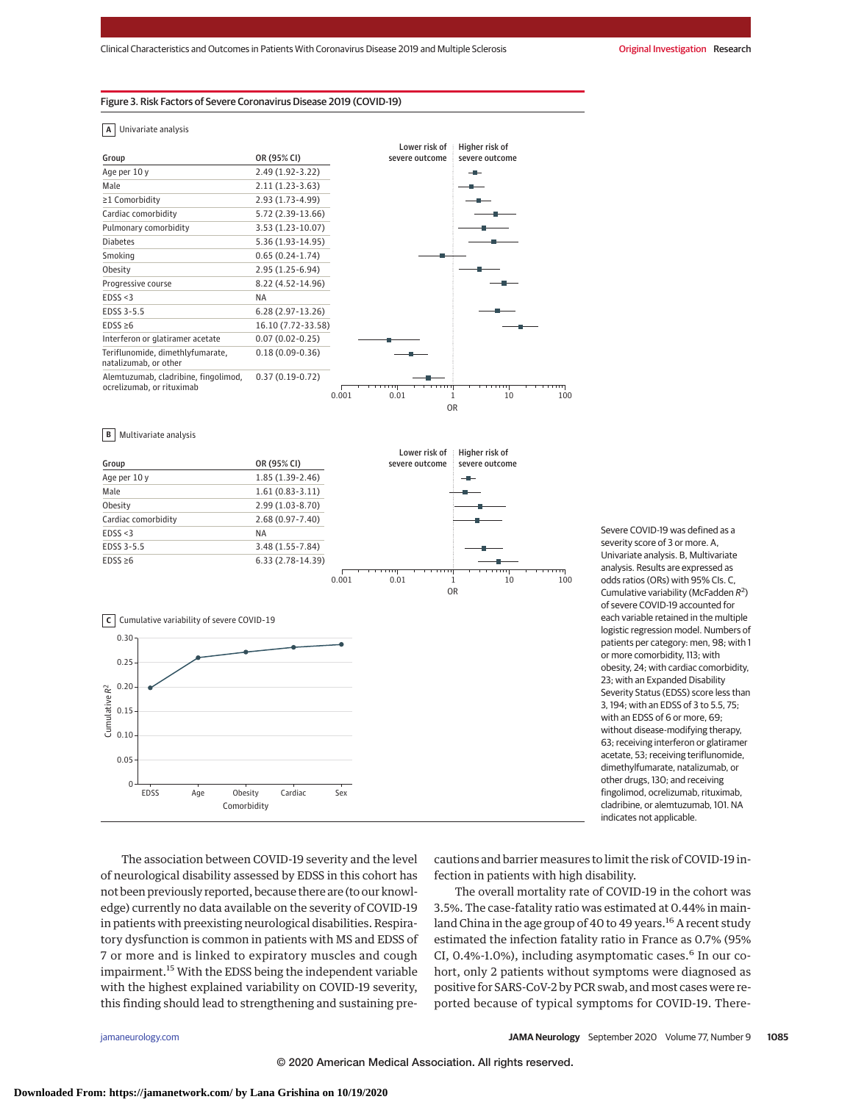## Figure 3. Risk Factors of Severe Coronavirus Disease 2019 (COVID-19)

**A** Univariate analysis





Severe COVID-19 was defined as a severity score of 3 or more. A, Univariate analysis. B, Multivariate analysis. Results are expressed as odds ratios (ORs) with 95% CIs. C, Cumulative variability (McFadden  $R^2$ ) of severe COVID-19 accounted for each variable retained in the multiple logistic regression model. Numbers of patients per category: men, 98; with 1 or more comorbidity, 113; with obesity, 24; with cardiac comorbidity, 23; with an Expanded Disability Severity Status (EDSS) score less than 3, 194; with an EDSS of 3 to 5.5, 75; with an EDSS of 6 or more, 69; without disease-modifying therapy, 63; receiving interferon or glatiramer acetate, 53; receiving teriflunomide, dimethylfumarate, natalizumab, or other drugs, 130; and receiving fingolimod, ocrelizumab, rituximab, cladribine, or alemtuzumab, 101. NA indicates not applicable.

The association between COVID-19 severity and the level of neurological disability assessed by EDSS in this cohort has not been previously reported, because there are (to our knowledge) currently no data available on the severity of COVID-19 in patients with preexisting neurological disabilities. Respiratory dysfunction is common in patients with MS and EDSS of 7 or more and is linked to expiratory muscles and cough impairment.<sup>15</sup> With the EDSS being the independent variable with the highest explained variability on COVID-19 severity, this finding should lead to strengthening and sustaining pre-

cautions and barrier measures to limit the risk of COVID-19 infection in patients with high disability.

The overall mortality rate of COVID-19 in the cohort was 3.5%. The case-fatality ratio was estimated at 0.44% in mainland China in the age group of 40 to 49 years.<sup>16</sup> A recent study estimated the infection fatality ratio in France as 0.7% (95% CI, 0.4%-1.0%), including asymptomatic cases.<sup>6</sup> In our cohort, only 2 patients without symptoms were diagnosed as positive for SARS-CoV-2 by PCR swab, and most cases were reported because of typical symptoms for COVID-19. There-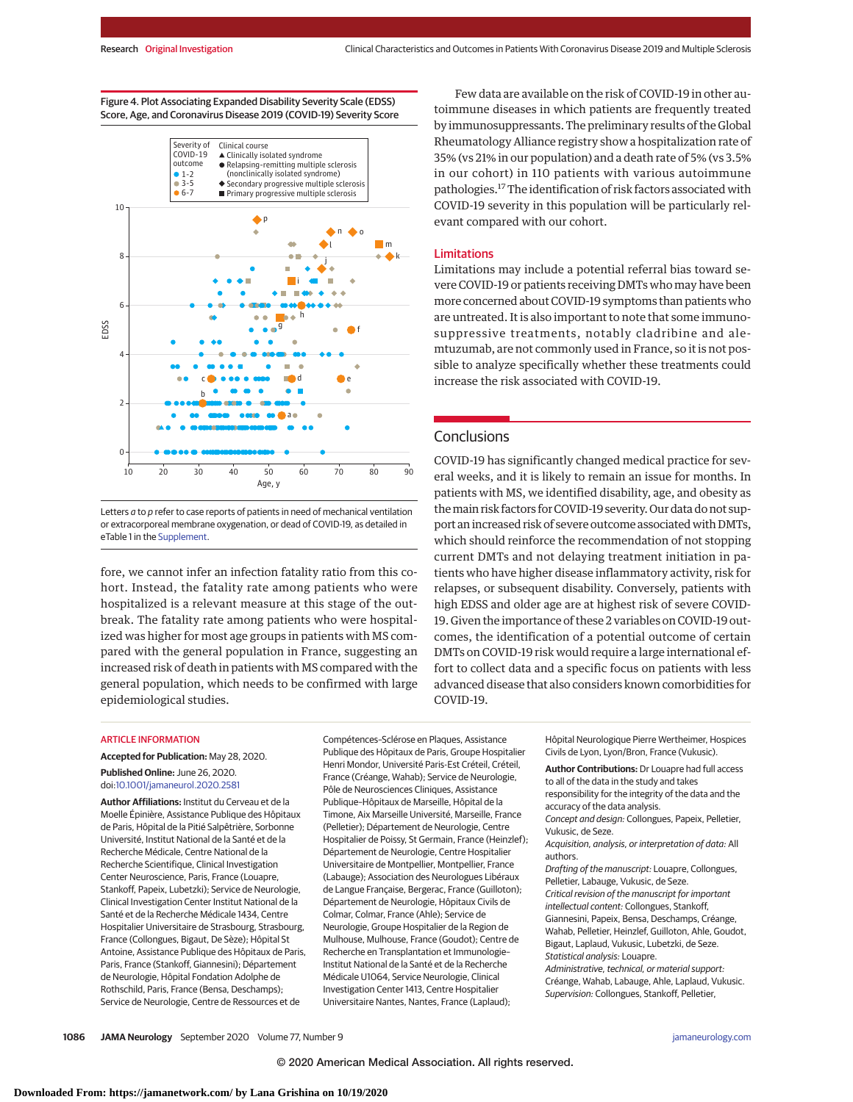Figure 4. Plot Associating Expanded Disability Severity Scale (EDSS) Score, Age, and Coronavirus Disease 2019 (COVID-19) Severity Score



Letters  $a$  to  $p$  refer to case reports of patients in need of mechanical ventilation or extracorporeal membrane oxygenation, or dead of COVID-19, as detailed in eTable 1 in the [Supplement.](https://jamanetwork.com/journals/jama/fullarticle/10.1001/jamaneurol.2020.2581?utm_campaign=articlePDF%26utm_medium=articlePDFlink%26utm_source=articlePDF%26utm_content=jamaneurol.2020.2581)

fore, we cannot infer an infection fatality ratio from this cohort. Instead, the fatality rate among patients who were hospitalized is a relevant measure at this stage of the outbreak. The fatality rate among patients who were hospitalized was higher for most age groups in patients with MS compared with the general population in France, suggesting an increased risk of death in patients with MS compared with the general population, which needs to be confirmed with large epidemiological studies.

Few data are available on the risk of COVID-19 in other autoimmune diseases in which patients are frequently treated by immunosuppressants. The preliminary results of the Global Rheumatology Alliance registry show a hospitalization rate of 35% (vs 21% in our population) and a death rate of 5% (vs 3.5% in our cohort) in 110 patients with various autoimmune pathologies.17The identification of risk factors associated with COVID-19 severity in this population will be particularly relevant compared with our cohort.

## Limitations

Limitations may include a potential referral bias toward severe COVID-19 or patients receiving DMTs who may have been more concerned about COVID-19 symptoms than patients who are untreated. It is also important to note that some immunosuppressive treatments, notably cladribine and alemtuzumab, are not commonly used in France, so it is not possible to analyze specifically whether these treatments could increase the risk associated with COVID-19.

## **Conclusions**

COVID-19 has significantly changed medical practice for several weeks, and it is likely to remain an issue for months. In patients with MS, we identified disability, age, and obesity as themain risk factors for COVID-19 severity. Our data do not support an increased risk of severe outcome associated with DMTs, which should reinforce the recommendation of not stopping current DMTs and not delaying treatment initiation in patients who have higher disease inflammatory activity, risk for relapses, or subsequent disability. Conversely, patients with high EDSS and older age are at highest risk of severe COVID-19. Given the importance of these 2 variables on COVID-19 outcomes, the identification of a potential outcome of certain DMTs on COVID-19 risk would require a large international effort to collect data and a specific focus on patients with less advanced disease that also considers known comorbidities for COVID-19.

#### **ARTICLE INFORMATION**

**Accepted for Publication:** May 28, 2020. **Published Online:** June 26, 2020. doi[:10.1001/jamaneurol.2020.2581](https://jamanetwork.com/journals/jama/fullarticle/10.1001/jamaneurol.2020.2581?utm_campaign=articlePDF%26utm_medium=articlePDFlink%26utm_source=articlePDF%26utm_content=jamaneurol.2020.2581)

**Author Affiliations:** Institut du Cerveau et de la Moelle Épinière, Assistance Publique des Hôpitaux de Paris, Hôpital de la Pitié Salpêtrière, Sorbonne Université, Institut National de la Santé et de la Recherche Médicale, Centre National de la Recherche Scientifique, Clinical Investigation Center Neuroscience, Paris, France (Louapre, Stankoff, Papeix, Lubetzki); Service de Neurologie, Clinical Investigation Center Institut National de la Santé et de la Recherche Médicale 1434, Centre Hospitalier Universitaire de Strasbourg, Strasbourg, France (Collongues, Bigaut, De Sèze); Hôpital St Antoine, Assistance Publique des Hôpitaux de Paris, Paris, France (Stankoff, Giannesini); Département de Neurologie, Hôpital Fondation Adolphe de Rothschild, Paris, France (Bensa, Deschamps); Service de Neurologie, Centre de Ressources et de

Compétences–Sclérose en Plaques, Assistance Publique des Hôpitaux de Paris, Groupe Hospitalier Henri Mondor, Université Paris-Est Créteil, Créteil, France (Créange, Wahab); Service de Neurologie, Pôle de Neurosciences Cliniques, Assistance Publique–Hôpitaux de Marseille, Hôpital de la Timone, Aix Marseille Université, Marseille, France (Pelletier); Département de Neurologie, Centre Hospitalier de Poissy, St Germain, France (Heinzlef); Département de Neurologie, Centre Hospitalier Universitaire de Montpellier, Montpellier, France (Labauge); Association des Neurologues Libéraux de Langue Française, Bergerac, France (Guilloton); Département de Neurologie, Hôpitaux Civils de Colmar, Colmar, France (Ahle); Service de Neurologie, Groupe Hospitalier de la Region de Mulhouse, Mulhouse, France (Goudot); Centre de Recherche en Transplantation et Immunologie– Institut National de la Santé et de la Recherche Médicale U1064, Service Neurologie, Clinical Investigation Center 1413, Centre Hospitalier Universitaire Nantes, Nantes, France (Laplaud);

Hôpital Neurologique Pierre Wertheimer, Hospices Civils de Lyon, Lyon/Bron, France (Vukusic).

**Author Contributions:** Dr Louapre had full access to all of the data in the study and takes responsibility for the integrity of the data and the accuracy of the data analysis. Concept and design: Collongues, Papeix, Pelletier, Vukusic, de Seze.

Acquisition, analysis, or interpretation of data: All authors.

Drafting of the manuscript: Louapre, Collongues, Pelletier, Labauge, Vukusic, de Seze. Critical revision of the manuscript for important intellectual content: Collongues, Stankoff, Giannesini, Papeix, Bensa, Deschamps, Créange, Wahab, Pelletier, Heinzlef, Guilloton, Ahle, Goudot, Bigaut, Laplaud, Vukusic, Lubetzki, de Seze. Statistical analysis: Louapre. Administrative, technical, or material support: Créange, Wahab, Labauge, Ahle, Laplaud, Vukusic. Supervision: Collongues, Stankoff, Pelletier,

**1086 JAMA Neurology** September 2020 Volume 77, Number 9 **(Reprinted)** [jamaneurology.com](http://www.jamaneurology.com?utm_campaign=articlePDF%26utm_medium=articlePDFlink%26utm_source=articlePDF%26utm_content=jamaneurol.2020.2581)

© 2020 American Medical Association. All rights reserved.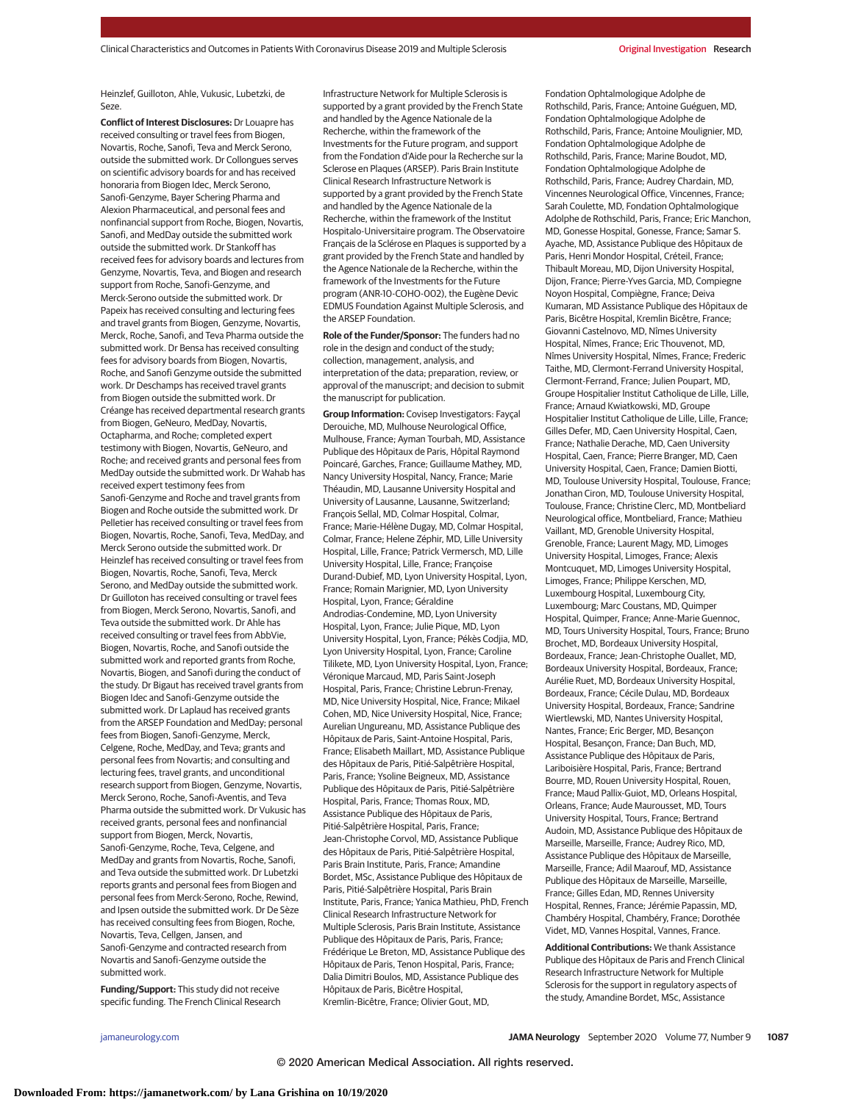Heinzlef, Guilloton, Ahle, Vukusic, Lubetzki, de Seze.

**Conflict of Interest Disclosures:** Dr Louapre has received consulting or travel fees from Biogen, Novartis, Roche, Sanofi, Teva and Merck Serono, outside the submitted work. Dr Collongues serves on scientific advisory boards for and has received honoraria from Biogen Idec, Merck Serono, Sanofi-Genzyme, Bayer Schering Pharma and Alexion Pharmaceutical, and personal fees and nonfinancial support from Roche, Biogen, Novartis, Sanofi, and MedDay outside the submitted work outside the submitted work. Dr Stankoff has received fees for advisory boards and lectures from Genzyme, Novartis, Teva, and Biogen and research support from Roche, Sanofi-Genzyme, and Merck-Serono outside the submitted work. Dr Papeix has received consulting and lecturing fees and travel grants from Biogen, Genzyme, Novartis, Merck, Roche, Sanofi, and Teva Pharma outside the submitted work. Dr Bensa has received consulting fees for advisory boards from Biogen, Novartis, Roche, and Sanofi Genzyme outside the submitted work. Dr Deschamps has received travel grants from Biogen outside the submitted work. Dr Créange has received departmental research grants from Biogen, GeNeuro, MedDay, Novartis, Octapharma, and Roche; completed expert testimony with Biogen, Novartis, GeNeuro, and Roche; and received grants and personal fees from MedDay outside the submitted work. Dr Wahab has received expert testimony fees from Sanofi-Genzyme and Roche and travel grants from Biogen and Roche outside the submitted work. Dr Pelletier has received consulting or travel fees from Biogen, Novartis, Roche, Sanofi, Teva, MedDay, and Merck Serono outside the submitted work. Dr Heinzlef has received consulting or travel fees from Biogen, Novartis, Roche, Sanofi, Teva, Merck Serono, and MedDay outside the submitted work. Dr Guilloton has received consulting or travel fees from Biogen, Merck Serono, Novartis, Sanofi, and Teva outside the submitted work. Dr Ahle has received consulting or travel fees from AbbVie, Biogen, Novartis, Roche, and Sanofi outside the submitted work and reported grants from Roche, Novartis, Biogen, and Sanofi during the conduct of the study. Dr Bigaut has received travel grants from Biogen Idec and Sanofi-Genzyme outside the submitted work. Dr Laplaud has received grants from the ARSEP Foundation and MedDay; personal fees from Biogen, Sanofi-Genzyme, Merck, Celgene, Roche, MedDay, and Teva; grants and personal fees from Novartis; and consulting and lecturing fees, travel grants, and unconditional research support from Biogen, Genzyme, Novartis, Merck Serono, Roche, Sanofi-Aventis, and Teva Pharma outside the submitted work. Dr Vukusic has received grants, personal fees and nonfinancial support from Biogen, Merck, Novartis, Sanofi-Genzyme, Roche, Teva, Celgene, and MedDay and grants from Novartis, Roche, Sanofi, and Teva outside the submitted work. Dr Lubetzki reports grants and personal fees from Biogen and personal fees from Merck-Serono, Roche, Rewind, and Ipsen outside the submitted work. Dr De Sèze has received consulting fees from Biogen, Roche, Novartis, Teva, Cellgen, Jansen, and Sanofi-Genzyme and contracted research from Novartis and Sanofi-Genzyme outside the submitted work.

**Funding/Support:** This study did not receive specific funding. The French Clinical Research Infrastructure Network for Multiple Sclerosis is supported by a grant provided by the French State and handled by the Agence Nationale de la Recherche, within the framework of the Investments for the Future program, and support from the Fondation d'Aide pour la Recherche sur la Sclerose en Plaques (ARSEP). Paris Brain Institute Clinical Research Infrastructure Network is supported by a grant provided by the French State and handled by the Agence Nationale de la Recherche, within the framework of the Institut Hospitalo-Universitaire program. The Observatoire Français de la Sclérose en Plaques is supported by a grant provided by the French State and handled by the Agence Nationale de la Recherche, within the framework of the Investments for the Future program (ANR-10-COHO-002), the Eugène Devic EDMUS Foundation Against Multiple Sclerosis, and the ARSEP Foundation.

**Role of the Funder/Sponsor:** The funders had no role in the design and conduct of the study; collection, management, analysis, and interpretation of the data; preparation, review, or approval of the manuscript; and decision to submit the manuscript for publication.

**Group Information:** Covisep Investigators: Fayçal Derouiche, MD, Mulhouse Neurological Office, Mulhouse, France; Ayman Tourbah, MD, Assistance Publique des Hôpitaux de Paris, Hôpital Raymond Poincaré, Garches, France; Guillaume Mathey, MD, Nancy University Hospital, Nancy, France; Marie Théaudin, MD, Lausanne University Hospital and University of Lausanne, Lausanne, Switzerland; François Sellal, MD, Colmar Hospital, Colmar, France; Marie-Hélène Dugay, MD, Colmar Hospital, Colmar, France; Helene Zéphir, MD, Lille University Hospital, Lille, France; Patrick Vermersch, MD, Lille University Hospital, Lille, France; Françoise Durand-Dubief, MD, Lyon University Hospital, Lyon, France; Romain Marignier, MD, Lyon University Hospital, Lyon, France; Géraldine Androdias-Condemine, MD, Lyon University Hospital, Lyon, France; Julie Pique, MD, Lyon University Hospital, Lyon, France; Pékès Codjia, MD, Lyon University Hospital, Lyon, France; Caroline Tilikete, MD, Lyon University Hospital, Lyon, France; Véronique Marcaud, MD, Paris Saint-Joseph Hospital, Paris, France; Christine Lebrun-Frenay, MD, Nice University Hospital, Nice, France; Mikael Cohen, MD, Nice University Hospital, Nice, France; Aurelian Ungureanu, MD, Assistance Publique des Hôpitaux de Paris, Saint-Antoine Hospital, Paris, France; Elisabeth Maillart, MD, Assistance Publique des Hôpitaux de Paris, Pitié-Salpêtrière Hospital, Paris, France; Ysoline Beigneux, MD, Assistance Publique des Hôpitaux de Paris, Pitié-Salpêtrière Hospital, Paris, France; Thomas Roux, MD, Assistance Publique des Hôpitaux de Paris, Pitié-Salpêtrière Hospital, Paris, France; Jean-Christophe Corvol, MD, Assistance Publique des Hôpitaux de Paris, Pitié-Salpêtrière Hospital, Paris Brain Institute, Paris, France; Amandine Bordet, MSc, Assistance Publique des Hôpitaux de Paris, Pitié-Salpêtrière Hospital, Paris Brain Institute, Paris, France; Yanica Mathieu, PhD, French Clinical Research Infrastructure Network for Multiple Sclerosis, Paris Brain Institute, Assistance Publique des Hôpitaux de Paris, Paris, France; Frédérique Le Breton, MD, Assistance Publique des Hôpitaux de Paris, Tenon Hospital, Paris, France; Dalia Dimitri Boulos, MD, Assistance Publique des Hôpitaux de Paris, Bicêtre Hospital, Kremlin-Bicêtre, France; Olivier Gout, MD,

Fondation Ophtalmologique Adolphe de Rothschild, Paris, France; Antoine Guéguen, MD, Fondation Ophtalmologique Adolphe de Rothschild, Paris, France; Antoine Moulignier, MD, Fondation Ophtalmologique Adolphe de Rothschild, Paris, France; Marine Boudot, MD, Fondation Ophtalmologique Adolphe de Rothschild, Paris, France; Audrey Chardain, MD, Vincennes Neurological Office, Vincennes, France; Sarah Coulette, MD, Fondation Ophtalmologique Adolphe de Rothschild, Paris, France; Eric Manchon, MD, Gonesse Hospital, Gonesse, France; Samar S. Ayache, MD, Assistance Publique des Hôpitaux de Paris, Henri Mondor Hospital, Créteil, France; Thibault Moreau, MD, Dijon University Hospital, Dijon, France; Pierre-Yves Garcia, MD, Compiegne Noyon Hospital, Compiègne, France; Deiva Kumaran, MD Assistance Publique des Hôpitaux de Paris, Bicêtre Hospital, Kremlin Bicêtre, France; Giovanni Castelnovo, MD, Nîmes University Hospital, Nîmes, France; Eric Thouvenot, MD, Nîmes University Hospital, Nîmes, France; Frederic Taithe, MD, Clermont-Ferrand University Hospital, Clermont-Ferrand, France; Julien Poupart, MD, Groupe Hospitalier Institut Catholique de Lille, Lille, France; Arnaud Kwiatkowski, MD, Groupe Hospitalier Institut Catholique de Lille, Lille, France; Gilles Defer, MD, Caen University Hospital, Caen, France; Nathalie Derache, MD, Caen University Hospital, Caen, France; Pierre Branger, MD, Caen University Hospital, Caen, France; Damien Biotti, MD, Toulouse University Hospital, Toulouse, France; Jonathan Ciron, MD, Toulouse University Hospital, Toulouse, France; Christine Clerc, MD, Montbeliard Neurological office, Montbeliard, France; Mathieu Vaillant, MD, Grenoble University Hospital, Grenoble, France; Laurent Magy, MD, Limoges University Hospital, Limoges, France; Alexis Montcuquet, MD, Limoges University Hospital, Limoges, France; Philippe Kerschen, MD, Luxembourg Hospital, Luxembourg City, Luxembourg; Marc Coustans, MD, Quimper Hospital, Quimper, France; Anne-Marie Guennoc, MD, Tours University Hospital, Tours, France; Bruno Brochet, MD, Bordeaux University Hospital, Bordeaux, France; Jean-Christophe Ouallet, MD, Bordeaux University Hospital, Bordeaux, France; Aurélie Ruet, MD, Bordeaux University Hospital, Bordeaux, France; Cécile Dulau, MD, Bordeaux University Hospital, Bordeaux, France; Sandrine Wiertlewski, MD, Nantes University Hospital, Nantes, France; Eric Berger, MD, Besançon Hospital, Besançon, France; Dan Buch, MD, Assistance Publique des Hôpitaux de Paris, Lariboisière Hospital, Paris, France; Bertrand Bourre, MD, Rouen University Hospital, Rouen, France; Maud Pallix-Guiot, MD, Orleans Hospital, Orleans, France; Aude Maurousset, MD, Tours University Hospital, Tours, France; Bertrand Audoin, MD, Assistance Publique des Hôpitaux de Marseille, Marseille, France; Audrey Rico, MD, Assistance Publique des Hôpitaux de Marseille, Marseille, France; Adil Maarouf, MD, Assistance Publique des Hôpitaux de Marseille, Marseille, France; Gilles Edan, MD, Rennes University Hospital, Rennes, France; Jérémie Papassin, MD, Chambéry Hospital, Chambéry, France; Dorothée Videt, MD, Vannes Hospital, Vannes, France.

**Additional Contributions:** We thank Assistance Publique des Hôpitaux de Paris and French Clinical Research Infrastructure Network for Multiple Sclerosis for the support in regulatory aspects of the study, Amandine Bordet, MSc, Assistance